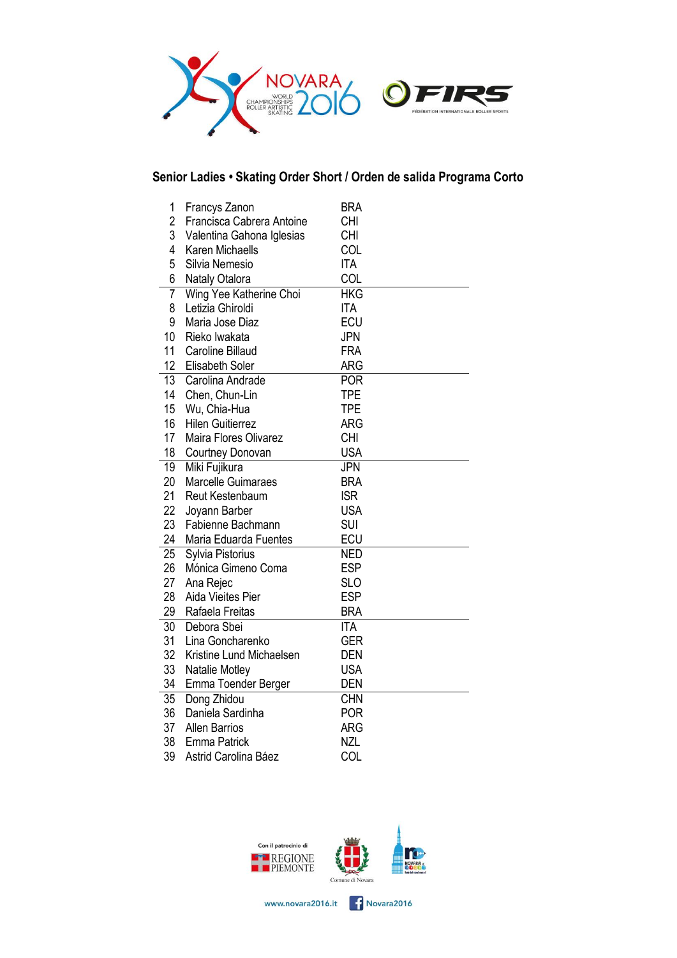

# **Senior Ladies • Skating Order Short / Orden de salida Programa Corto**

| 1               | Francys Zanon             | <b>BRA</b> |  |
|-----------------|---------------------------|------------|--|
| $\overline{c}$  | Francisca Cabrera Antoine | <b>CHI</b> |  |
| 3               | Valentina Gahona Iglesias | <b>CHI</b> |  |
| 4               | Karen Michaells           | COL        |  |
| 5               | Silvia Nemesio            | <b>ITA</b> |  |
| 6               | Nataly Otalora            | COL        |  |
| $\overline{7}$  | Wing Yee Katherine Choi   | <b>HKG</b> |  |
| 8               | Letizia Ghiroldi          | <b>ITA</b> |  |
| 9               | Maria Jose Diaz           | <b>ECU</b> |  |
| 10              | Rieko Iwakata             | <b>JPN</b> |  |
| 11              | <b>Caroline Billaud</b>   | <b>FRA</b> |  |
| 12              | Elisabeth Soler           | ARG        |  |
| $\overline{13}$ | Carolina Andrade          | <b>POR</b> |  |
| 14              | Chen, Chun-Lin            | <b>TPE</b> |  |
| 15              | Wu, Chia-Hua              | <b>TPE</b> |  |
| 16              | <b>Hilen Guitierrez</b>   | <b>ARG</b> |  |
| 17              | Maira Flores Olivarez     | <b>CHI</b> |  |
| 18              | Courtney Donovan          | <b>USA</b> |  |
| 19              | Miki Fujikura             | <b>JPN</b> |  |
| 20              | <b>Marcelle Guimaraes</b> | <b>BRA</b> |  |
| 21              | Reut Kestenbaum           | <b>ISR</b> |  |
| 22              | Joyann Barber             | <b>USA</b> |  |
| 23              | Fabienne Bachmann         | <b>SUI</b> |  |
| 24              | Maria Eduarda Fuentes     | ECU        |  |
| 25              | Sylvia Pistorius          | <b>NED</b> |  |
| 26              | Mónica Gimeno Coma        | <b>ESP</b> |  |
| 27              | Ana Rejec                 | <b>SLO</b> |  |
| 28              | Aida Vieites Pier         | <b>ESP</b> |  |
| 29              | Rafaela Freitas           | <b>BRA</b> |  |
| 30              | Debora Sbei               | <b>ITA</b> |  |
| 31              | Lina Goncharenko          | <b>GER</b> |  |
| 32              | Kristine Lund Michaelsen  | <b>DEN</b> |  |
| 33              | Natalie Motley            | <b>USA</b> |  |
| 34              | Emma Toender Berger       | DEN        |  |
| 35              | Dong Zhidou               | <b>CHN</b> |  |
| 36              | Daniela Sardinha          | <b>POR</b> |  |
| 37              | <b>Allen Barrios</b>      | ARG        |  |
| 38              | <b>Emma Patrick</b>       | <b>NZL</b> |  |
| 39              | Astrid Carolina Báez      | COL        |  |



www.novara2016.it **CONFIDENT** Novara2016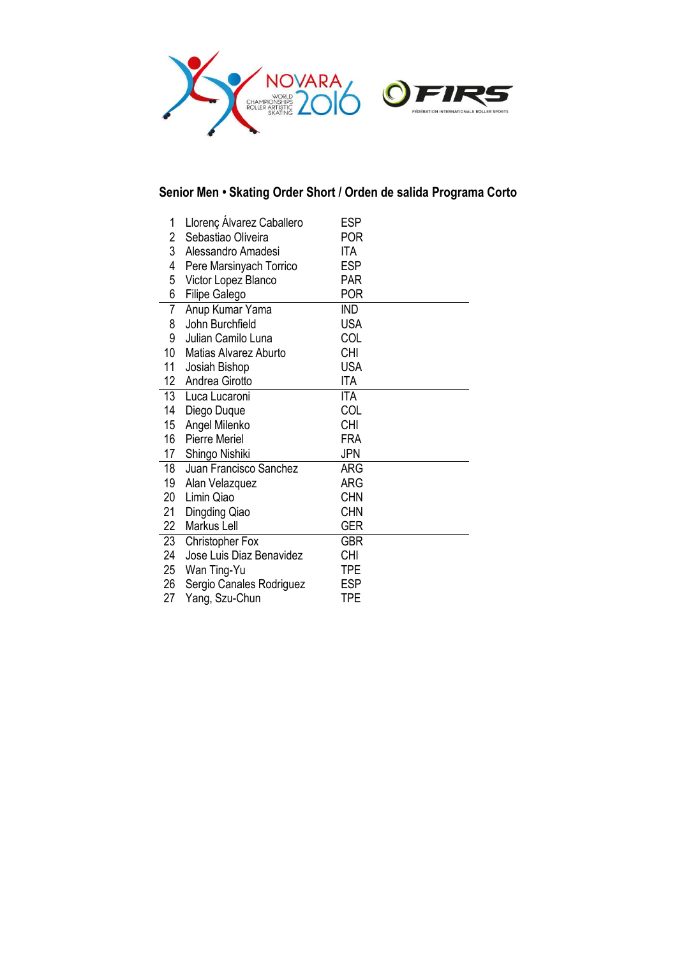

### **Senior Men • Skating Order Short / Orden de salida Programa Corto**

| 1              | Llorenç Álvarez Caballero | <b>ESP</b> |  |
|----------------|---------------------------|------------|--|
| 2              | Sebastiao Oliveira        | <b>POR</b> |  |
| 3              | Alessandro Amadesi        | ITA        |  |
| 4              | Pere Marsinyach Torrico   | ESP        |  |
| 5              | Victor Lopez Blanco       | <b>PAR</b> |  |
| 6              | Filipe Galego             | <b>POR</b> |  |
| $\overline{7}$ | Anup Kumar Yama           | <b>IND</b> |  |
| 8              | John Burchfield           | <b>USA</b> |  |
| 9              | Julian Camilo Luna        | COL        |  |
| 10             | Matias Alvarez Aburto     | <b>CHI</b> |  |
| 11             | Josiah Bishop             | <b>USA</b> |  |
| 12             | Andrea Girotto            | ITA        |  |
| 13             | Luca Lucaroni             | <b>ITA</b> |  |
| 14             | Diego Duque               | COL        |  |
| 15             | Angel Milenko             | <b>CHI</b> |  |
| 16             | <b>Pierre Meriel</b>      | FRA        |  |
| 17             | Shingo Nishiki            | JPN        |  |
| 18             | Juan Francisco Sanchez    | ARG        |  |
| 19             | Alan Velazquez            | ARG        |  |
| 20             | Limin Qiao                | <b>CHN</b> |  |
| 21             | Dingding Qiao             | <b>CHN</b> |  |
| 22             | Markus Lell               | <b>GER</b> |  |
| 23             | <b>Christopher Fox</b>    | GBR        |  |
| 24             | Jose Luis Diaz Benavidez  | <b>CHI</b> |  |
| 25             | Wan Ting-Yu               | TPE        |  |
| 26             | Sergio Canales Rodriguez  | <b>ESP</b> |  |
| 27             | Yang, Szu-Chun            | <b>TPE</b> |  |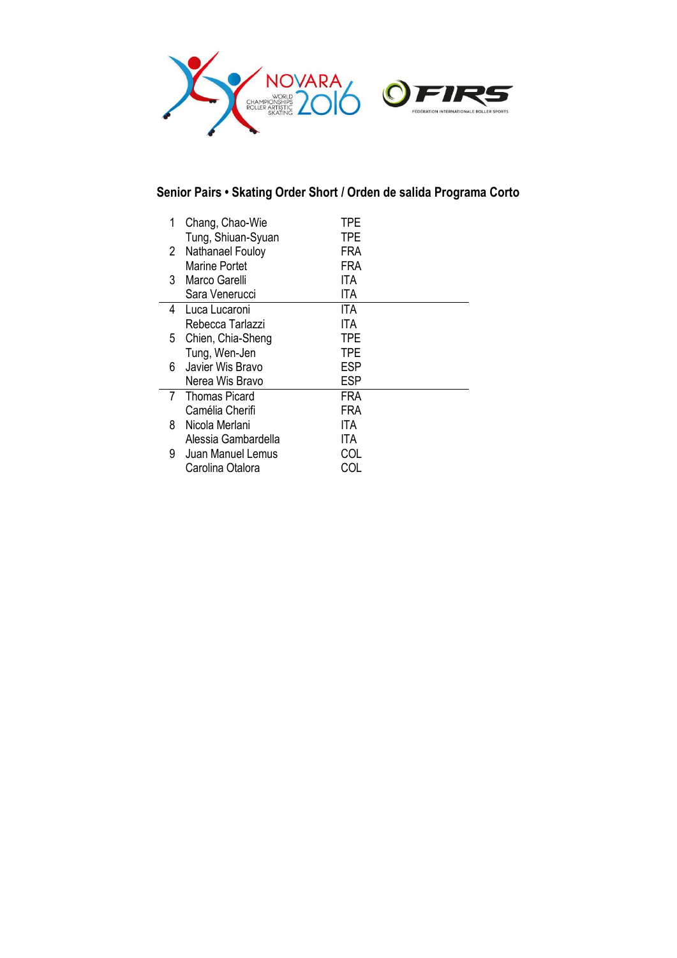

# **Senior Pairs • Skating Order Short / Orden de salida Programa Corto**

| 1               | Chang, Chao-Wie<br>Tung, Shiuan-Syuan | TPE<br>TPE |  |
|-----------------|---------------------------------------|------------|--|
| 2               | Nathanael Fouloy                      | FRA        |  |
|                 | Marine Portet                         | FRA        |  |
| 3               | Marco Garelli                         | ITA        |  |
|                 | Sara Venerucci                        | ITA        |  |
| 4               | Luca Lucaroni                         | ITA        |  |
|                 | Rebecca Tarlazzi                      | ITA        |  |
| 5.              | Chien, Chia-Sheng                     | TPE        |  |
|                 | Tung, Wen-Jen                         | TPE        |  |
| 6.              | Javier Wis Bravo                      | <b>ESP</b> |  |
|                 | Nerea Wis Bravo                       | <b>ESP</b> |  |
| $7\overline{ }$ | <b>Thomas Picard</b>                  | FRA        |  |
|                 | Camélia Cherifi                       | FRA        |  |
| 8               | Nicola Merlani                        | ITA        |  |
|                 | Alessia Gambardella                   | ITA.       |  |
| 9.              | Juan Manuel Lemus                     | COL        |  |
|                 | Carolina Otalora                      |            |  |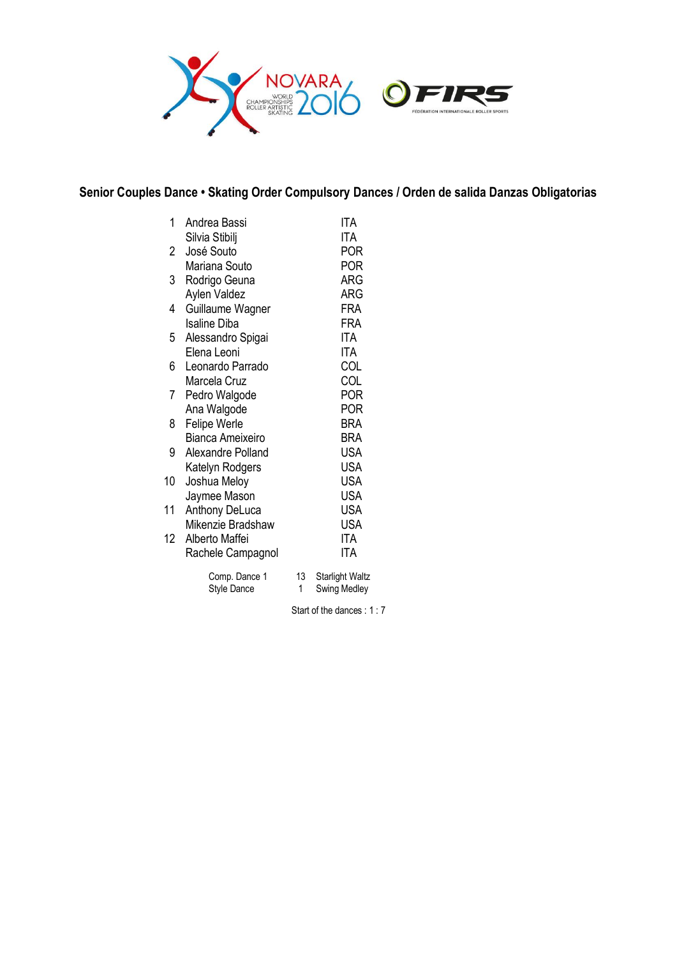

### **Senior Couples Dance • Skating Order Compulsory Dances / Orden de salida Danzas Obligatorias**

| 1            | Andrea Bassi            |    | ITA             |
|--------------|-------------------------|----|-----------------|
|              | Silvia Stibilj          |    | ITA             |
| $\mathbf{2}$ | José Souto              |    | <b>POR</b>      |
|              | Mariana Souto           |    | <b>POR</b>      |
| 3            | Rodrigo Geuna           |    | <b>ARG</b>      |
|              | Aylen Valdez            |    | ARG             |
| 4            | Guillaume Wagner        |    | FRA             |
|              | <b>Isaline Diba</b>     |    | FRA             |
| 5            | Alessandro Spigai       |    | ITA             |
|              | Elena Leoni             |    | ITA             |
| 6            | Leonardo Parrado        |    | COL             |
|              | Marcela Cruz            |    | COL             |
| 7            | Pedro Walgode           |    | <b>POR</b>      |
|              | Ana Walgode             |    | POR             |
| 8            | <b>Felipe Werle</b>     |    | BRA             |
|              | <b>Bianca Ameixeiro</b> |    | BRA             |
| 9            | Alexandre Polland       |    | <b>USA</b>      |
|              | Katelyn Rodgers         |    | <b>USA</b>      |
| 10           | Joshua Meloy            |    | <b>USA</b>      |
|              | Jaymee Mason            |    | <b>USA</b>      |
| 11           | <b>Anthony DeLuca</b>   |    | USA             |
|              | Mikenzie Bradshaw       |    | <b>USA</b>      |
| $12-12$      | Alberto Maffei          |    | ITA             |
|              | Rachele Campagnol       |    | ITA             |
|              |                         |    |                 |
|              | Comp. Dance 1           | 13 | Starlight Waltz |
|              | Style Dance             | 1  | Swing Medley    |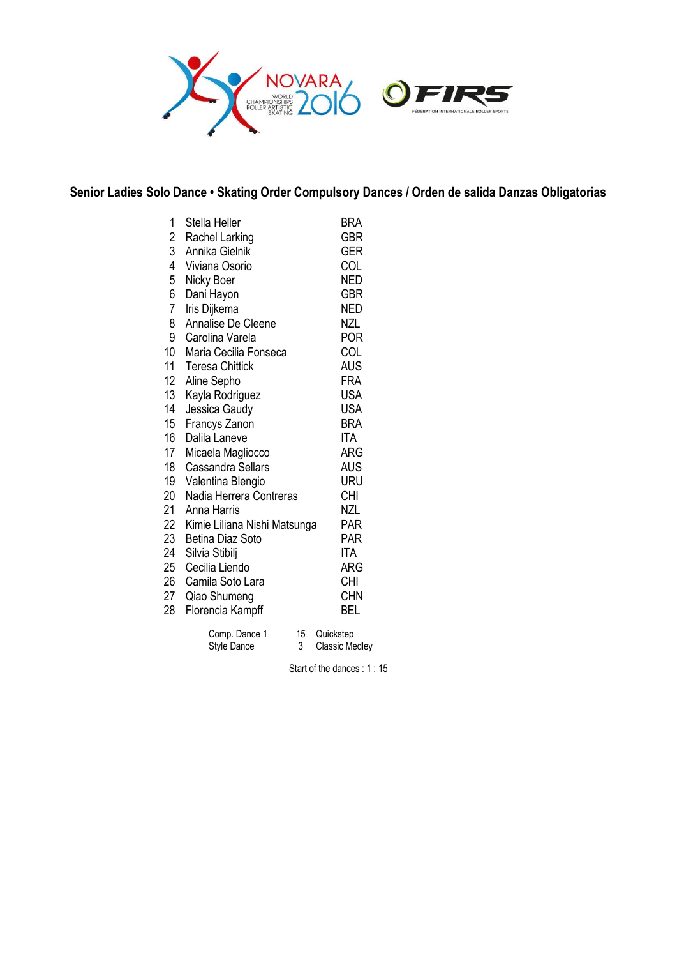

#### **Senior Ladies Solo Dance • Skating Order Compulsory Dances / Orden de salida Danzas Obligatorias**

| 1<br>$\overline{c}$<br>3<br>$\overline{4}$<br>5<br>6<br>$\overline{7}$<br>8<br>9<br>10<br>11<br>12<br>13<br>14<br>15<br>16<br>17<br>18<br>19<br>20<br>21<br>22 | Stella Heller<br>Rachel Larking<br>Annika Gielnik<br>Viviana Osorio<br>Nicky Boer<br>Dani Hayon<br>Iris Dijkema<br>Annalise De Cleene<br>Carolina Varela<br>Maria Cecilia Fonseca<br><b>Teresa Chittick</b><br>Aline Sepho<br>Kayla Rodriguez<br>Jessica Gaudy<br>Francys Zanon<br>Dalila Laneve<br>Micaela Magliocco<br><b>Cassandra Sellars</b><br>Valentina Blengio<br>Nadia Herrera Contreras<br>Anna Harris<br>Kimie Liliana Nishi Matsunga | BRA<br><b>GBR</b><br><b>GER</b><br>COL<br><b>NED</b><br><b>GBR</b><br>NED<br>NZL<br>POR<br>COL<br>AUS<br><b>FRA</b><br><b>USA</b><br><b>USA</b><br><b>BRA</b><br><b>ITA</b><br>ARG<br>AUS<br>URU<br><b>CHI</b><br>NZL<br>PAR |
|----------------------------------------------------------------------------------------------------------------------------------------------------------------|--------------------------------------------------------------------------------------------------------------------------------------------------------------------------------------------------------------------------------------------------------------------------------------------------------------------------------------------------------------------------------------------------------------------------------------------------|------------------------------------------------------------------------------------------------------------------------------------------------------------------------------------------------------------------------------|
|                                                                                                                                                                |                                                                                                                                                                                                                                                                                                                                                                                                                                                  |                                                                                                                                                                                                                              |
| 23                                                                                                                                                             | Betina Diaz Soto                                                                                                                                                                                                                                                                                                                                                                                                                                 | PAR                                                                                                                                                                                                                          |
| 24                                                                                                                                                             | Silvia Stibilj                                                                                                                                                                                                                                                                                                                                                                                                                                   | ITA                                                                                                                                                                                                                          |
| 25                                                                                                                                                             | Cecilia Liendo                                                                                                                                                                                                                                                                                                                                                                                                                                   | ARG                                                                                                                                                                                                                          |
| 26                                                                                                                                                             | Camila Soto Lara                                                                                                                                                                                                                                                                                                                                                                                                                                 | <b>CHI</b>                                                                                                                                                                                                                   |
| 27                                                                                                                                                             | Qiao Shumeng                                                                                                                                                                                                                                                                                                                                                                                                                                     | <b>CHN</b>                                                                                                                                                                                                                   |
| 28                                                                                                                                                             | Florencia Kampff                                                                                                                                                                                                                                                                                                                                                                                                                                 | BEL                                                                                                                                                                                                                          |
|                                                                                                                                                                | 15<br>Comp. Dance 1<br>3<br>Style Dance                                                                                                                                                                                                                                                                                                                                                                                                          | Quickstep<br><b>Classic Medley</b>                                                                                                                                                                                           |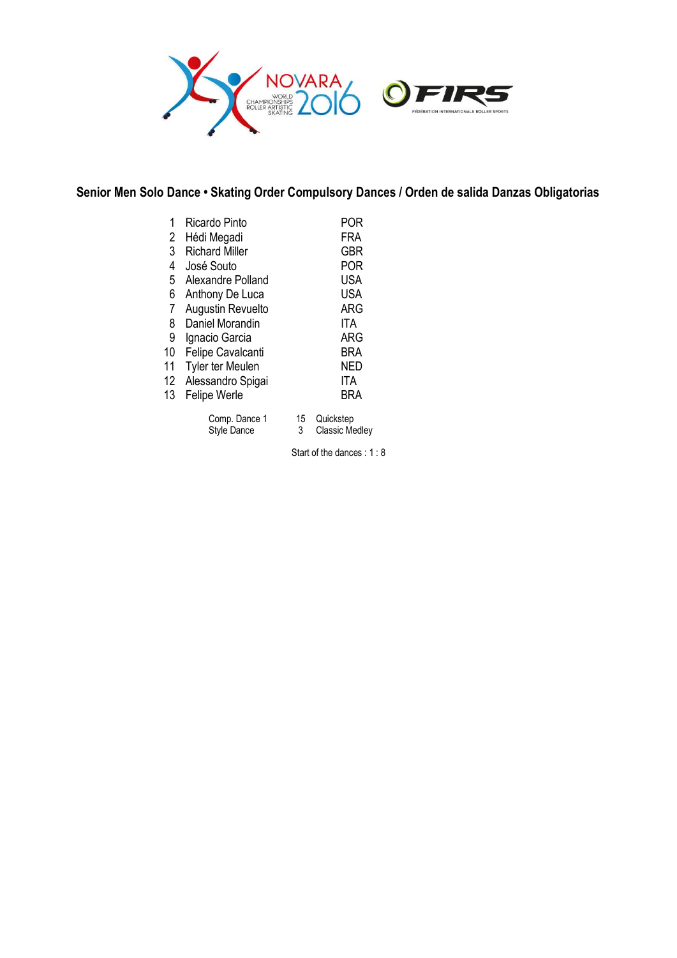

### **Senior Men Solo Dance • Skating Order Compulsory Dances / Orden de salida Danzas Obligatorias**

| 1<br>2 | Ricardo Pinto<br>Hédi Megadi |         | POR<br>FRA                         |
|--------|------------------------------|---------|------------------------------------|
| 3      | <b>Richard Miller</b>        |         | <b>GBR</b>                         |
| 4      | José Souto                   |         | POR                                |
| 5      | Alexandre Polland            |         | <b>USA</b>                         |
| 6      | Anthony De Luca              |         | <b>USA</b>                         |
| 7      | Augustin Revuelto            |         | <b>ARG</b>                         |
| 8      | Daniel Morandin              |         | ITA                                |
| 9      | Ignacio Garcia               |         | ARG                                |
| 10     | <b>Felipe Cavalcanti</b>     |         | BRA                                |
| 11     | <b>Tyler ter Meulen</b>      |         | NED                                |
| 12     | Alessandro Spigai            |         | ITA                                |
| 13     | Felipe Werle                 |         | BRA                                |
|        | Comp. Dance 1<br>Style Dance | 15<br>3 | Quickstep<br><b>Classic Medley</b> |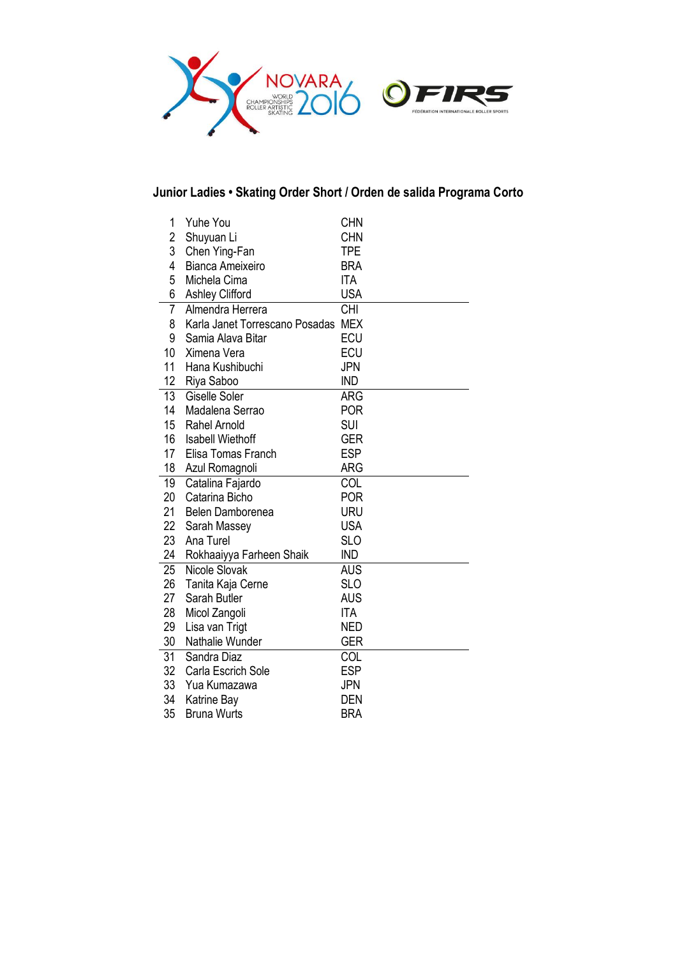

# **Junior Ladies • Skating Order Short / Orden de salida Programa Corto**

| 1              | <b>Yuhe You</b>                | <b>CHN</b> |
|----------------|--------------------------------|------------|
| $\overline{c}$ | Shuyuan Li                     | <b>CHN</b> |
| 3              | Chen Ying-Fan                  | <b>TPE</b> |
| 4              | Bianca Ameixeiro               | <b>BRA</b> |
| 5              | Michela Cima                   | <b>ITA</b> |
| 6              | <b>Ashley Clifford</b>         | <b>USA</b> |
| 7              | Almendra Herrera               | <b>CHI</b> |
| 8              | Karla Janet Torrescano Posadas | <b>MEX</b> |
| 9              | Samia Alava Bitar              | <b>ECU</b> |
| 10             | Ximena Vera                    | <b>ECU</b> |
| 11             | Hana Kushibuchi                | <b>JPN</b> |
| 12             | Riya Saboo                     | <b>IND</b> |
| 13             | Giselle Soler                  | ARG        |
| 14             | Madalena Serrao                | <b>POR</b> |
| 15             | Rahel Arnold                   | <b>SUI</b> |
| 16             | <b>Isabell Wiethoff</b>        | <b>GER</b> |
| 17             | Elisa Tomas Franch             | <b>ESP</b> |
| 18             | Azul Romagnoli                 | <b>ARG</b> |
| 19             | Catalina Fajardo               | COL        |
| 20             | Catarina Bicho                 | <b>POR</b> |
| 21             | Belen Damborenea               | URU        |
| 22             | Sarah Massey                   | <b>USA</b> |
| 23             | Ana Turel                      | <b>SLO</b> |
| 24             | Rokhaaiyya Farheen Shaik       | <b>IND</b> |
| 25             | Nicole Slovak                  | <b>AUS</b> |
| 26             | Tanita Kaja Cerne              | <b>SLO</b> |
| 27             | Sarah Butler                   | <b>AUS</b> |
| 28             | Micol Zangoli                  | <b>ITA</b> |
| 29             | Lisa van Trigt                 | <b>NED</b> |
| 30             | Nathalie Wunder                | GER        |
| 31             | Sandra Diaz                    | COL        |
| 32             | Carla Escrich Sole             | <b>ESP</b> |
| 33             | Yua Kumazawa                   | <b>JPN</b> |
| 34             | Katrine Bay                    | DEN        |
| 35             | <b>Bruna Wurts</b>             | <b>BRA</b> |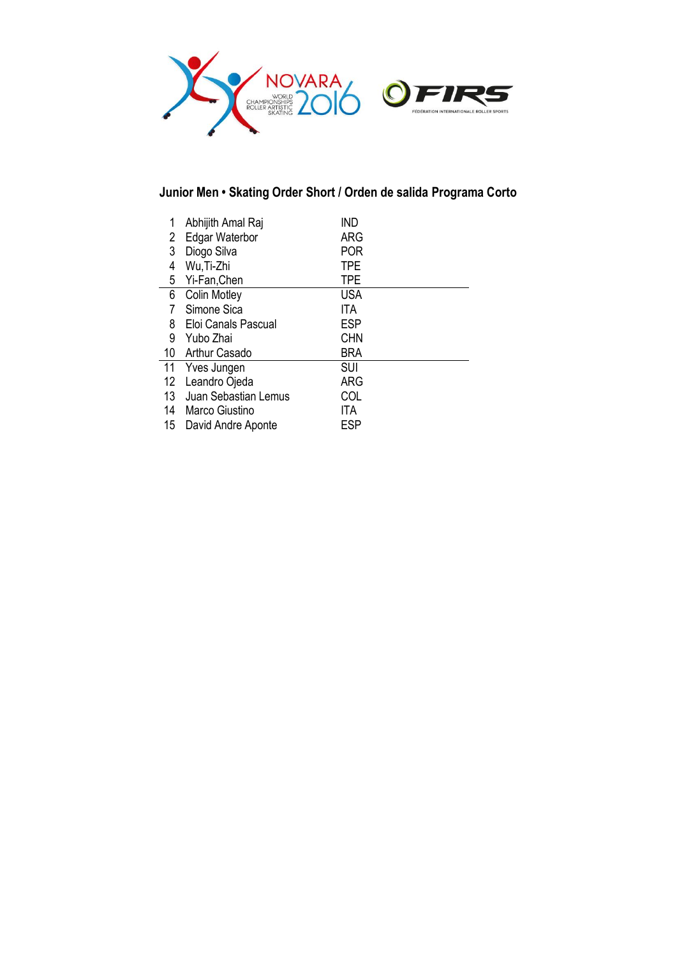

# **Junior Men • Skating Order Short / Orden de salida Programa Corto**

| 1  | Abhijith Amal Raj     | ind        |  |
|----|-----------------------|------------|--|
| 2  | Edgar Waterbor        | ARG        |  |
| 3  | Diogo Silva           | <b>POR</b> |  |
| 4  | Wu, Ti-Zhi            | <b>TPE</b> |  |
| 5  | Yi-Fan, Chen          | <b>TPE</b> |  |
| 6  | <b>Colin Motley</b>   | <b>USA</b> |  |
| 7  | Simone Sica           | <b>ITA</b> |  |
| 8  | Eloi Canals Pascual   | <b>ESP</b> |  |
| 9  | Yubo Zhai             | <b>CHN</b> |  |
|    | 10 Arthur Casado      | <b>BRA</b> |  |
| 11 | Yves Jungen           | SUI        |  |
| 12 | Leandro Ojeda         | ARG        |  |
| 13 | Juan Sebastian Lemus  | COL        |  |
| 14 | Marco Giustino        | ITA        |  |
|    | 15 David Andre Aponte | <b>ESP</b> |  |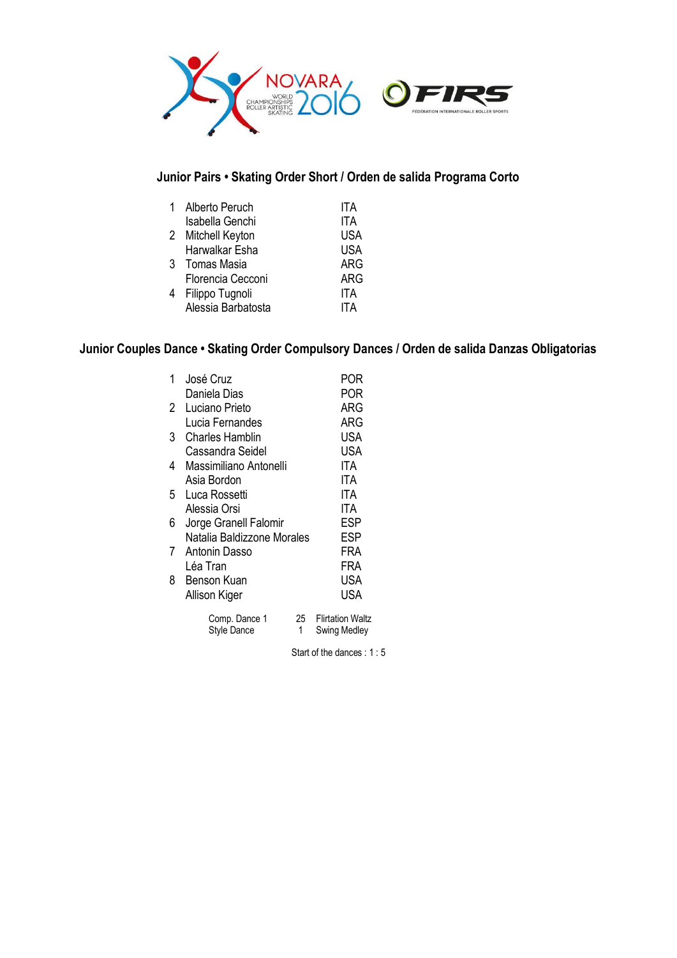

# **Junior Pairs • Skating Order Short / Orden de salida Programa Corto**

| Alberto Peruch     | ITA        |
|--------------------|------------|
| Isabella Genchi    | ITA        |
| 2 Mitchell Keyton  | USA        |
| Harwalkar Esha     | <b>USA</b> |
| 3 Tomas Masia      | ARG        |
| Florencia Cecconi  | ARG        |
| 4 Filippo Tugnoli  | ITA        |
| Alessia Barbatosta | ITA        |
|                    |            |

# **Junior Couples Dance • Skating Order Compulsory Dances / Orden de salida Danzas Obligatorias**

| 1 | José Cruz                    |         | POR                                     |
|---|------------------------------|---------|-----------------------------------------|
|   | Daniela Dias                 |         | POR                                     |
| 2 | Luciano Prieto               |         | ARG                                     |
|   | Lucia Fernandes              |         | ARG                                     |
| 3 | Charles Hamblin              |         | <b>USA</b>                              |
|   | Cassandra Seidel             |         | <b>USA</b>                              |
| 4 | Massimiliano Antonelli       |         | ITA                                     |
|   | Asia Bordon                  |         | ITA                                     |
| 5 | Luca Rossetti                |         | ITA                                     |
|   | Alessia Orsi                 |         | ITA                                     |
| 6 | Jorge Granell Falomir        |         | ESP                                     |
|   | Natalia Baldizzone Morales   |         | ESP                                     |
| 7 | Antonin Dasso                |         | FRA                                     |
|   | Léa Tran                     |         | FRA                                     |
| 8 | Benson Kuan                  |         | USA                                     |
|   | Allison Kiger                |         | <b>USA</b>                              |
|   | Comp. Dance 1<br>Style Dance | 25<br>1 | <b>Flirtation Waltz</b><br>Swing Medley |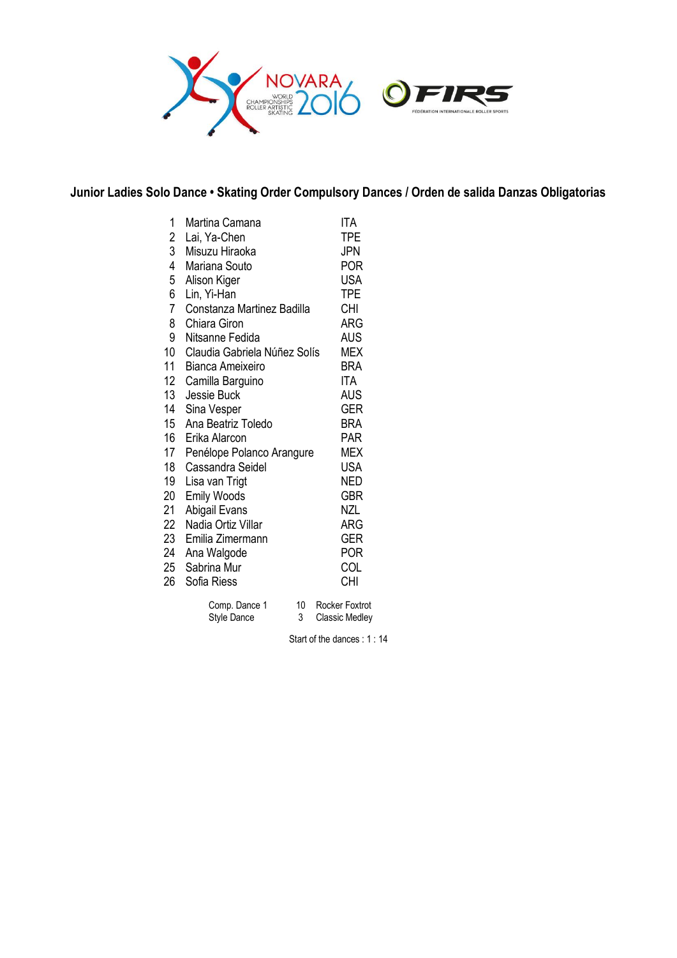

### **Junior Ladies Solo Dance • Skating Order Compulsory Dances / Orden de salida Danzas Obligatorias**

| 1              | Martina Camana               | ITA             |
|----------------|------------------------------|-----------------|
| $\overline{c}$ | Lai, Ya-Chen                 | TPE             |
| 3              | Misuzu Hiraoka               | <b>JPN</b>      |
| 4              | Mariana Souto                | POR             |
| 5              | Alison Kiger                 | USA             |
| 6              | Lin, Yi-Han                  | <b>TPE</b>      |
| 7              | Constanza Martinez Badilla   | <b>CHI</b>      |
| 8              | Chiara Giron                 | ARG             |
| 9              | Nitsanne Fedida              | <b>AUS</b>      |
| 10             | Claudia Gabriela Núñez Solís | MEX             |
| 11             | Bianca Ameixeiro             | BRA             |
| 12             | Camilla Barguino             | ITA             |
| 13             | Jessie Buck                  | AUS             |
| 14             | Sina Vesper                  | <b>GER</b>      |
| 15             | Ana Beatriz Toledo           | BRA             |
| 16             | Erika Alarcon                | PAR             |
| 17             | Penélope Polanco Arangure    | MEX             |
| 18             | Cassandra Seidel             | USA             |
| 19             | Lisa van Trigt               | <b>NED</b>      |
| 20             | Emily Woods                  | GBR             |
| 21             | Abigail Evans                | <b>NZL</b>      |
| 22             | Nadia Ortiz Villar           | ARG             |
| 23             | Emilia Zimermann             | GER             |
| 24             | Ana Walgode                  | POR             |
| 25             | Sabrina Mur                  | COL             |
| 26             | Sofia Riess                  | CHI             |
|                | $10^{-1}$<br>Camp Dansa 1    | Doolian Foutrat |

| Comp. Dance 1 | 10 Rocker Foxtrot     |
|---------------|-----------------------|
| Style Dance   | <b>Classic Medley</b> |